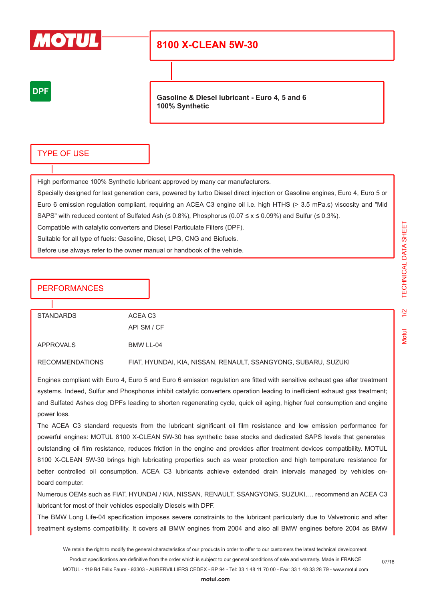

# **8100 X-CLEAN 5W-30**

## **DPF**

**Gasoline & Diesel lubricant - Euro 4, 5 and 6 100% Synthetic**

### TYPE OF USE

High performance 100% Synthetic lubricant approved by many car manufacturers.

Specially designed for last generation cars, powered by turbo Diesel direct injection or Gasoline engines, Euro 4, Euro 5 or Euro 6 emission regulation compliant, requiring an ACEA C3 engine oil i.e. high HTHS (> 3.5 mPa.s) viscosity and "Mid SAPS" with reduced content of Sulfated Ash (≤ 0.8%), Phosphorus (0.07  $\le x \le 0.09$ %) and Sulfur (≤ 0.3%).

Compatible with catalytic converters and Diesel Particulate Filters (DPF).

Suitable for all type of fuels: Gasoline, Diesel, LPG, CNG and Biofuels.

Before use always refer to the owner manual or handbook of the vehicle.

API SM / CF

### **PERFORMANCES**

STANDARDS ACEA C3

APPROVALS BMW LL-04

RECOMMENDATIONS FIAT, HYUNDAI, KIA, NISSAN, RENAULT, SSANGYONG, SUBARU, SUZUKI

Engines compliant with Euro 4, Euro 5 and Euro 6 emission regulation are fitted with sensitive exhaust gas after treatment systems. Indeed, Sulfur and Phosphorus inhibit catalytic converters operation leading to inefficient exhaust gas treatment: and Sulfated Ashes clog DPFs leading to shorten regenerating cycle, quick oil aging, higher fuel consumption and engine power loss.

The ACEA C3 standard requests from the lubricant significant oil film resistance and low emission performance for powerful engines: MOTUL 8100 X-CLEAN 5W-30 has synthetic base stocks and dedicated SAPS levels that generates outstanding oil film resistance, reduces friction in the engine and provides after treatment devices compatibility. MOTUL 8100 X-CLEAN 5W-30 brings high lubricating properties such as wear protection and high temperature resistance for better controlled oil consumption. ACEA C3 lubricants achieve extended drain intervals managed by vehicles onboard computer.

Numerous OEMs such as FIAT, HYUNDAI / KIA, NISSAN, RENAULT, SSANGYONG, SUZUKI,… recommend an ACEA C3 lubricant for most of their vehicles especially Diesels with DPF.

The BMW Long Life-04 specification imposes severe constraints to the lubricant particularly due to Valvetronic and after treatment systems compatibility. It covers all BMW engines from 2004 and also all BMW engines before 2004 as BMW

We retain the right to modify the general characteristics of our products in order to offer to our customers the latest technical development. Product specifications are definitive from the order which is subject to our general conditions of sale and warranty. Made in FRANCE

MOTUL - 119 Bd Félix Faure - 93303 - AUBERVILLIERS CEDEX - BP 94 - Tel: 33 1 48 11 70 00 - Fax: 33 1 48 33 28 79 - www.motul.com

07/18